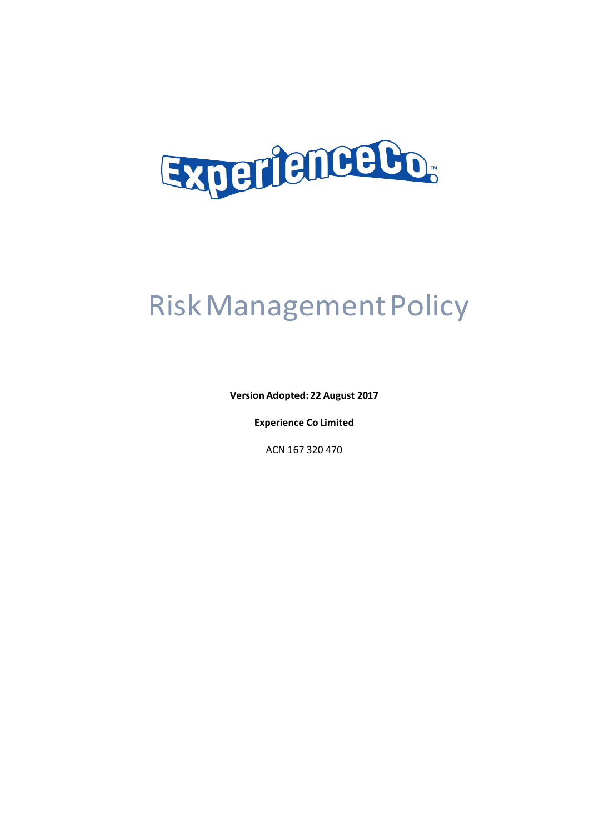

# Risk Management Policy

**Version Adopted: 22 August 2017** 

**Experience Co Limited** 

ACN 167 320 470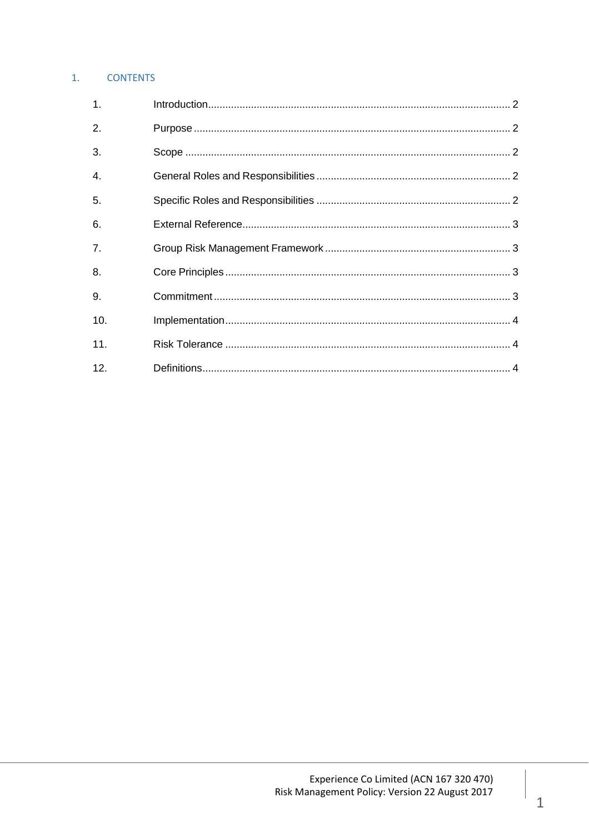# 1. CONTENTS

| $\mathbf{1}$ . |  |
|----------------|--|
| 2.             |  |
| 3.             |  |
| 4.             |  |
| 5.             |  |
| 6.             |  |
| 7.             |  |
| 8.             |  |
| 9.             |  |
| 10.            |  |
| 11.            |  |
| 12.            |  |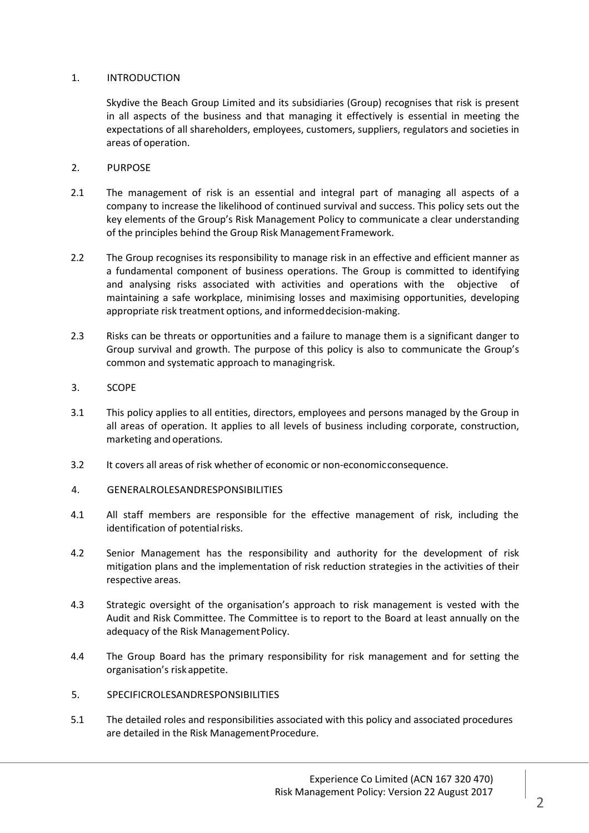# 1. INTRODUCTION

Skydive the Beach Group Limited and its subsidiaries (Group) recognises that risk is present in all aspects of the business and that managing it effectively is essential in meeting the expectations of all shareholders, employees, customers, suppliers, regulators and societies in areas of operation.

- 2. PURPOSE
- 2.1 The management of risk is an essential and integral part of managing all aspects of a company to increase the likelihood of continued survival and success. This policy sets out the key elements of the Group's Risk Management Policy to communicate a clear understanding of the principles behind the Group Risk Management Framework.
- 2.2 The Group recognises its responsibility to manage risk in an effective and efficient manner as a fundamental component of business operations. The Group is committed to identifying and analysing risks associated with activities and operations with the objective of maintaining a safe workplace, minimising losses and maximising opportunities, developing appropriate risk treatment options, and informed decision-making.
- 2.3 Risks can be threats or opportunities and a failure to manage them is a significant danger to Group survival and growth. The purpose of this policy is also to communicate the Group's common and systematic approach to managing risk.
- 3. SCOPE
- 3.1 This policy applies to all entities, directors, employees and persons managed by the Group in all areas of operation. It applies to all levels of business including corporate, construction, marketing and operations.
- 3.2 It covers all areas of risk whether of economic or non-economic consequence.
- 4. GENERALROLESANDRESPONSIBILITIES
- 4.1 All staff members are responsible for the effective management of risk, including the identification of potential risks.
- 4.2 Senior Management has the responsibility and authority for the development of risk mitigation plans and the implementation of risk reduction strategies in the activities of their respective areas.
- 4.3 Strategic oversight of the organisation's approach to risk management is vested with the Audit and Risk Committee. The Committee is to report to the Board at least annually on the adequacy of the Risk Management Policy.
- 4.4 The Group Board has the primary responsibility for risk management and for setting the organisation's risk appetite.
- 5. SPECIFICROLESANDRESPONSIBILITIES
- 5.1 The detailed roles and responsibilities associated with this policy and associated procedures are detailed in the Risk Management Procedure.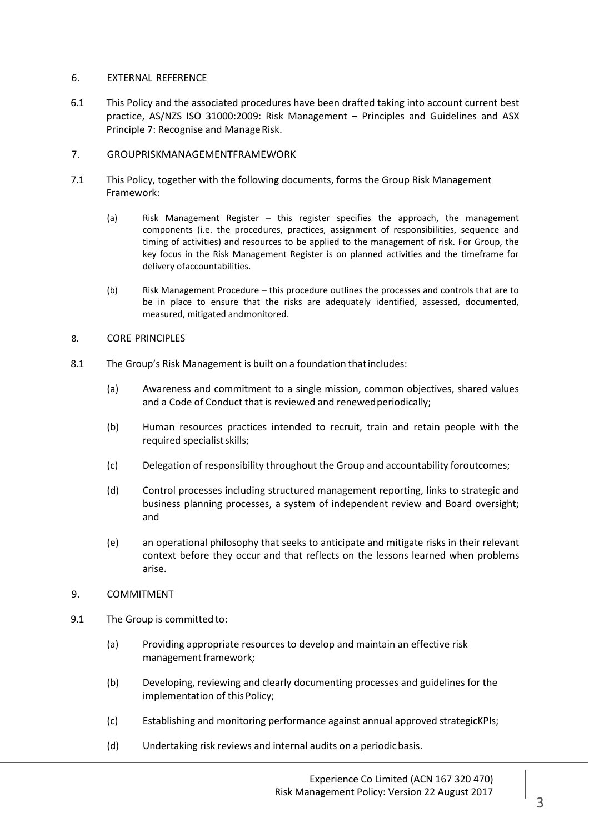#### 6. EXTERNAL REFERENCE

- 6.1 This Policy and the associated procedures have been drafted taking into account current best practice, AS/NZS ISO 31000:2009: Risk Management – Principles and Guidelines and ASX Principle 7: Recognise and Manage Risk.
- 7. GROUPRISKMANAGEMENTFRAMEWORK
- 7.1 This Policy, together with the following documents, forms the Group Risk Management Framework:
	- (a) Risk Management Register this register specifies the approach, the management components (i.e. the procedures, practices, assignment of responsibilities, sequence and timing of activities) and resources to be applied to the management of risk. For Group, the key focus in the Risk Management Register is on planned activities and the timeframe for delivery of accountabilities.
	- (b) Risk Management Procedure this procedure outlines the processes and controls that are to be in place to ensure that the risks are adequately identified, assessed, documented, measured, mitigated and monitored.
- 8. CORE PRINCIPLES
- 8.1 The Group's Risk Management is built on a foundation that includes:
	- (a) Awareness and commitment to a single mission, common objectives, shared values and a Code of Conduct that is reviewed and renewed periodically;
	- (b) Human resources practices intended to recruit, train and retain people with the required specialist skills;
	- (c) Delegation of responsibility throughout the Group and accountability foroutcomes;
	- (d) Control processes including structured management reporting, links to strategic and business planning processes, a system of independent review and Board oversight; and
	- (e) an operational philosophy that seeks to anticipate and mitigate risks in their relevant context before they occur and that reflects on the lessons learned when problems arise.
- 9. COMMITMENT
- 9.1 The Group is committed to:
	- (a) Providing appropriate resources to develop and maintain an effective risk management framework;
	- (b) Developing, reviewing and clearly documenting processes and guidelines for the implementation of this Policy;
	- (c) Establishing and monitoring performance against annual approved strategicKPIs;
	- (d) Undertaking risk reviews and internal audits on a periodic basis.